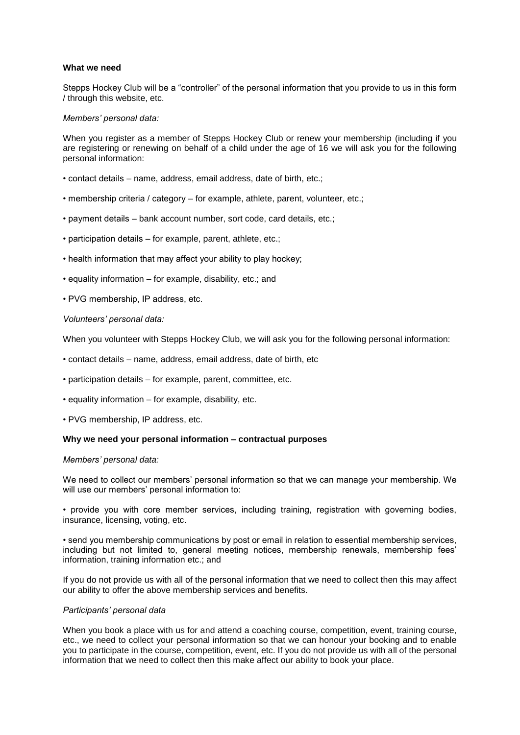## **What we need**

Stepps Hockey Club will be a "controller" of the personal information that you provide to us in this form / through this website, etc.

# *Members' personal data:*

When you register as a member of Stepps Hockey Club or renew your membership (including if you are registering or renewing on behalf of a child under the age of 16 we will ask you for the following personal information:

- contact details name, address, email address, date of birth, etc.;
- membership criteria / category for example, athlete, parent, volunteer, etc.;
- payment details bank account number, sort code, card details, etc.;
- participation details for example, parent, athlete, etc.;
- health information that may affect your ability to play hockey;
- equality information for example, disability, etc.; and
- PVG membership, IP address, etc.

# *Volunteers' personal data:*

When you volunteer with Stepps Hockey Club, we will ask you for the following personal information:

- contact details name, address, email address, date of birth, etc
- participation details for example, parent, committee, etc.
- equality information for example, disability, etc.
- PVG membership, IP address, etc.

## **Why we need your personal information – contractual purposes**

## *Members' personal data:*

We need to collect our members' personal information so that we can manage your membership. We will use our members' personal information to:

• provide you with core member services, including training, registration with governing bodies, insurance, licensing, voting, etc.

• send you membership communications by post or email in relation to essential membership services, including but not limited to, general meeting notices, membership renewals, membership fees' information, training information etc.; and

If you do not provide us with all of the personal information that we need to collect then this may affect our ability to offer the above membership services and benefits.

## *Participants' personal data*

When you book a place with us for and attend a coaching course, competition, event, training course, etc., we need to collect your personal information so that we can honour your booking and to enable you to participate in the course, competition, event, etc. If you do not provide us with all of the personal information that we need to collect then this make affect our ability to book your place.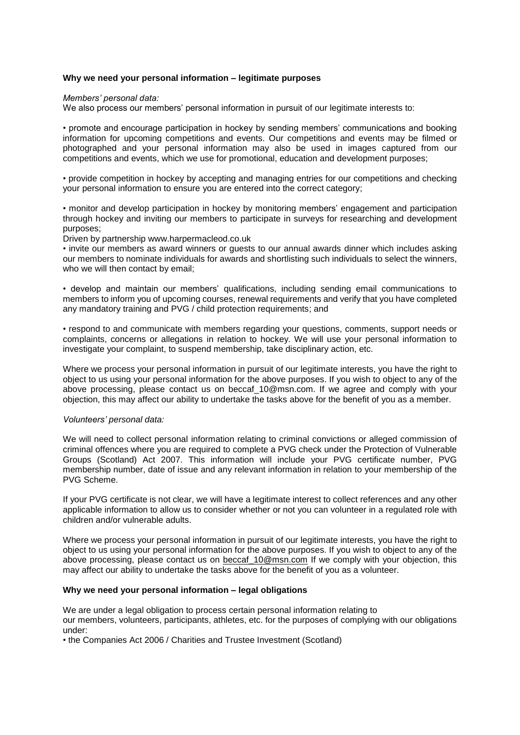# **Why we need your personal information – legitimate purposes**

#### *Members' personal data:*

We also process our members' personal information in pursuit of our legitimate interests to:

• promote and encourage participation in hockey by sending members' communications and booking information for upcoming competitions and events. Our competitions and events may be filmed or photographed and your personal information may also be used in images captured from our competitions and events, which we use for promotional, education and development purposes;

• provide competition in hockey by accepting and managing entries for our competitions and checking your personal information to ensure you are entered into the correct category;

• monitor and develop participation in hockey by monitoring members' engagement and participation through hockey and inviting our members to participate in surveys for researching and development purposes;

Driven by partnership www.harpermacleod.co.uk

• invite our members as award winners or guests to our annual awards dinner which includes asking our members to nominate individuals for awards and shortlisting such individuals to select the winners, who we will then contact by email;

• develop and maintain our members' qualifications, including sending email communications to members to inform you of upcoming courses, renewal requirements and verify that you have completed any mandatory training and PVG / child protection requirements; and

• respond to and communicate with members regarding your questions, comments, support needs or complaints, concerns or allegations in relation to hockey. We will use your personal information to investigate your complaint, to suspend membership, take disciplinary action, etc.

Where we process your personal information in pursuit of our legitimate interests, you have the right to object to us using your personal information for the above purposes. If you wish to object to any of the above processing, please contact us on beccaf\_10@msn.com. If we agree and comply with your objection, this may affect our ability to undertake the tasks above for the benefit of you as a member.

## *Volunteers' personal data:*

We will need to collect personal information relating to criminal convictions or alleged commission of criminal offences where you are required to complete a PVG check under the Protection of Vulnerable Groups (Scotland) Act 2007. This information will include your PVG certificate number, PVG membership number, date of issue and any relevant information in relation to your membership of the PVG Scheme.

If your PVG certificate is not clear, we will have a legitimate interest to collect references and any other applicable information to allow us to consider whether or not you can volunteer in a regulated role with children and/or vulnerable adults.

Where we process your personal information in pursuit of our legitimate interests, you have the right to object to us using your personal information for the above purposes. If you wish to object to any of the above processing, please contact us on beccaf 10@msn.com If we comply with your objection, this may affect our ability to undertake the tasks above for the benefit of you as a volunteer.

## **Why we need your personal information – legal obligations**

We are under a legal obligation to process certain personal information relating to our members, volunteers, participants, athletes, etc. for the purposes of complying with our obligations under:

• the Companies Act 2006 / Charities and Trustee Investment (Scotland)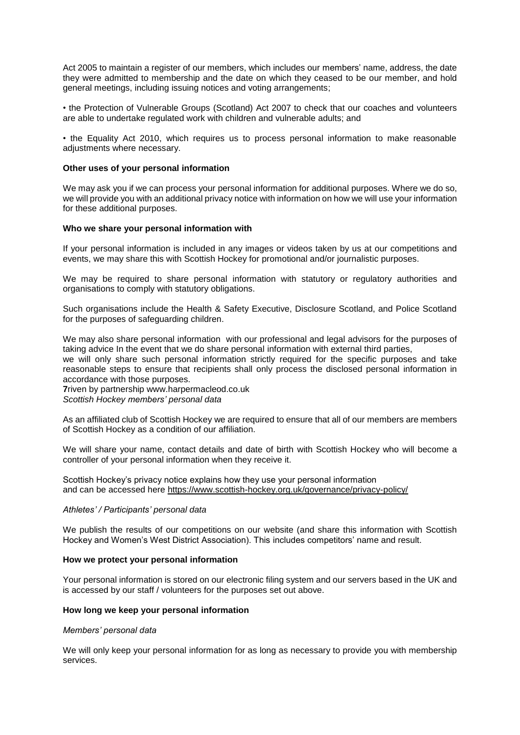Act 2005 to maintain a register of our members, which includes our members' name, address, the date they were admitted to membership and the date on which they ceased to be our member, and hold general meetings, including issuing notices and voting arrangements;

• the Protection of Vulnerable Groups (Scotland) Act 2007 to check that our coaches and volunteers are able to undertake regulated work with children and vulnerable adults; and

• the Equality Act 2010, which requires us to process personal information to make reasonable adjustments where necessary.

#### **Other uses of your personal information**

We may ask you if we can process your personal information for additional purposes. Where we do so, we will provide you with an additional privacy notice with information on how we will use your information for these additional purposes.

#### **Who we share your personal information with**

If your personal information is included in any images or videos taken by us at our competitions and events, we may share this with Scottish Hockey for promotional and/or journalistic purposes.

We may be required to share personal information with statutory or regulatory authorities and organisations to comply with statutory obligations.

Such organisations include the Health & Safety Executive, Disclosure Scotland, and Police Scotland for the purposes of safeguarding children.

We may also share personal information with our professional and legal advisors for the purposes of taking advice In the event that we do share personal information with external third parties, we will only share such personal information strictly required for the specific purposes and take reasonable steps to ensure that recipients shall only process the disclosed personal information in accordance with those purposes.

**7**riven by partnership www.harpermacleod.co.uk

*Scottish Hockey members' personal data*

As an affiliated club of Scottish Hockey we are required to ensure that all of our members are members of Scottish Hockey as a condition of our affiliation.

We will share your name, contact details and date of birth with Scottish Hockey who will become a controller of your personal information when they receive it.

Scottish Hockey's privacy notice explains how they use your personal information and can be accessed here<https://www.scottish-hockey.org.uk/governance/privacy-policy/>

#### *Athletes' / Participants' personal data*

We publish the results of our competitions on our website (and share this information with Scottish Hockey and Women's West District Association). This includes competitors' name and result.

## **How we protect your personal information**

Your personal information is stored on our electronic filing system and our servers based in the UK and is accessed by our staff / volunteers for the purposes set out above.

## **How long we keep your personal information**

## *Members' personal data*

We will only keep your personal information for as long as necessary to provide you with membership services.